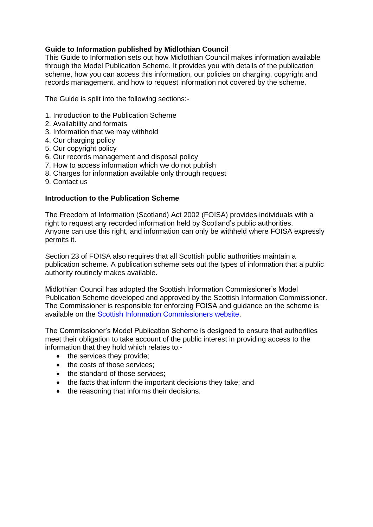# **Guide to Information published by Midlothian Council**

This Guide to Information sets out how Midlothian Council makes information available through the Model Publication Scheme. It provides you with details of the publication scheme, how you can access this information, our policies on charging, copyright and records management, and how to request information not covered by the scheme.

The Guide is split into the following sections:-

- 1. Introduction to the Publication Scheme
- 2. Availability and formats
- 3. Information that we may withhold
- 4. Our charging policy
- 5. Our copyright policy
- 6. Our records management and disposal policy
- 7. How to access information which we do not publish
- 8. Charges for information available only through request
- 9. Contact us

## **Introduction to the Publication Scheme**

The Freedom of Information (Scotland) Act 2002 (FOISA) provides individuals with a right to request any recorded information held by Scotland's public authorities. Anyone can use this right, and information can only be withheld where FOISA expressly permits it.

Section 23 of FOISA also requires that all Scottish public authorities maintain a publication scheme. A publication scheme sets out the types of information that a public authority routinely makes available.

Midlothian Council has adopted the Scottish Information Commissioner's Model Publication Scheme developed and approved by the Scottish Information Commissioner. The Commissioner is responsible for enforcing FOISA and guidance on the scheme is available on the Scottish Information Commissioners website.

The Commissioner's Model Publication Scheme is designed to ensure that authorities meet their obligation to take account of the public interest in providing access to the information that they hold which relates to:-

- the services they provide;
- the costs of those services;
- the standard of those services:
- the facts that inform the important decisions they take; and
- the reasoning that informs their decisions.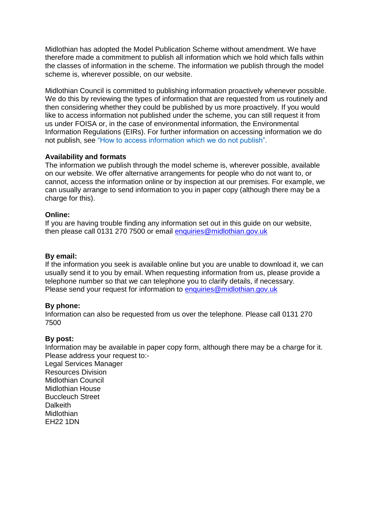Midlothian has adopted the Model Publication Scheme without amendment. We have therefore made a commitment to publish all information which we hold which falls within the classes of information in the scheme. The information we publish through the model scheme is, wherever possible, on our website.

Midlothian Council is committed to publishing information proactively whenever possible. We do this by reviewing the types of information that are requested from us routinely and then considering whether they could be published by us more proactively. If you would like to access information not published under the scheme, you can still request it from us under FOISA or, in the case of environmental information, the Environmental Information Regulations (EIRs). For further information on accessing information we do not publish, see "How to access information which we do not publish".

# **Availability and formats**

The information we publish through the model scheme is, wherever possible, available on our website. We offer alternative arrangements for people who do not want to, or cannot, access the information online or by inspection at our premises. For example, we can usually arrange to send information to you in paper copy (although there may be a charge for this).

# **Online:**

If you are having trouble finding any information set out in this guide on our website, then please call 0131 270 7500 or email [enquiries@midlothian.gov.uk](mailto:enquiries@midlothian.gov.uk)

## **By email:**

If the information you seek is available online but you are unable to download it, we can usually send it to you by email. When requesting information from us, please provide a telephone number so that we can telephone you to clarify details, if necessary. Please send your request for information to [enquiries@midlothian.gov.uk](mailto:enquiries@midlothian.gov.uk)

## **By phone:**

Information can also be requested from us over the telephone. Please call 0131 270 7500

## **By post:**

Information may be available in paper copy form, although there may be a charge for it. Please address your request to:- Legal Services Manager Resources Division Midlothian Council Midlothian House Buccleuch Street **Dalkeith** Midlothian EH22 1DN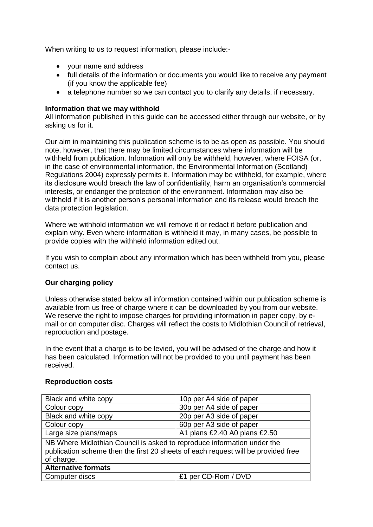When writing to us to request information, please include:-

- your name and address
- full details of the information or documents you would like to receive any payment (if you know the applicable fee)
- a telephone number so we can contact you to clarify any details, if necessary.

## **Information that we may withhold**

All information published in this guide can be accessed either through our website, or by asking us for it.

Our aim in maintaining this publication scheme is to be as open as possible. You should note, however, that there may be limited circumstances where information will be withheld from publication. Information will only be withheld, however, where FOISA (or, in the case of environmental information, the Environmental Information (Scotland) Regulations 2004) expressly permits it. Information may be withheld, for example, where its disclosure would breach the law of confidentiality, harm an organisation's commercial interests, or endanger the protection of the environment. Information may also be withheld if it is another person's personal information and its release would breach the data protection legislation.

Where we withhold information we will remove it or redact it before publication and explain why. Even where information is withheld it may, in many cases, be possible to provide copies with the withheld information edited out.

If you wish to complain about any information which has been withheld from you, please contact us.

# **Our charging policy**

Unless otherwise stated below all information contained within our publication scheme is available from us free of charge where it can be downloaded by you from our website. We reserve the right to impose charges for providing information in paper copy, by email or on computer disc. Charges will reflect the costs to Midlothian Council of retrieval, reproduction and postage.

In the event that a charge is to be levied, you will be advised of the charge and how it has been calculated. Information will not be provided to you until payment has been received.

## **Reproduction costs**

| Black and white copy                                                                                                                                                       | 10p per A4 side of paper      |  |
|----------------------------------------------------------------------------------------------------------------------------------------------------------------------------|-------------------------------|--|
| Colour copy                                                                                                                                                                | 30p per A4 side of paper      |  |
| Black and white copy                                                                                                                                                       | 20p per A3 side of paper      |  |
| Colour copy                                                                                                                                                                | 60p per A3 side of paper      |  |
| Large size plans/maps                                                                                                                                                      | A1 plans £2.40 A0 plans £2.50 |  |
| NB Where Midlothian Council is asked to reproduce information under the<br>publication scheme then the first 20 sheets of each request will be provided free<br>of charge. |                               |  |
| <b>Alternative formats</b>                                                                                                                                                 |                               |  |
| Computer discs                                                                                                                                                             | £1 per CD-Rom / DVD           |  |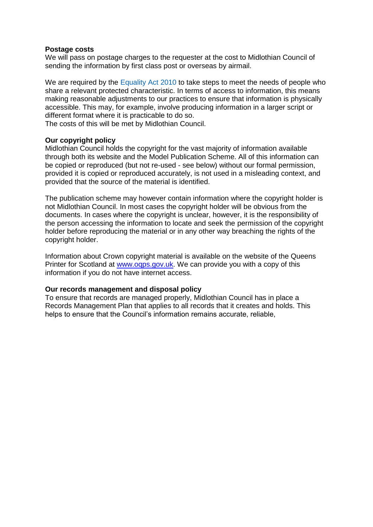#### **Postage costs**

We will pass on postage charges to the requester at the cost to Midlothian Council of sending the information by first class post or overseas by airmail.

We are required by the Equality Act 2010 to take steps to meet the needs of people who share a relevant protected characteristic. In terms of access to information, this means making reasonable adjustments to our practices to ensure that information is physically accessible. This may, for example, involve producing information in a larger script or different format where it is practicable to do so.

The costs of this will be met by Midlothian Council.

## **Our copyright policy**

Midlothian Council holds the copyright for the vast majority of information available through both its website and the Model Publication Scheme. All of this information can be copied or reproduced (but not re-used - see below) without our formal permission, provided it is copied or reproduced accurately, is not used in a misleading context, and provided that the source of the material is identified.

The publication scheme may however contain information where the copyright holder is not Midlothian Council. In most cases the copyright holder will be obvious from the documents. In cases where the copyright is unclear, however, it is the responsibility of the person accessing the information to locate and seek the permission of the copyright holder before reproducing the material or in any other way breaching the rights of the copyright holder.

Information about Crown copyright material is available on the website of the Queens Printer for Scotland at [www.oqps.gov.uk.](http://www.oqps.gov.uk/) We can provide you with a copy of this information if you do not have internet access.

## **Our records management and disposal policy**

To ensure that records are managed properly, Midlothian Council has in place a Records Management Plan that applies to all records that it creates and holds. This helps to ensure that the Council's information remains accurate, reliable,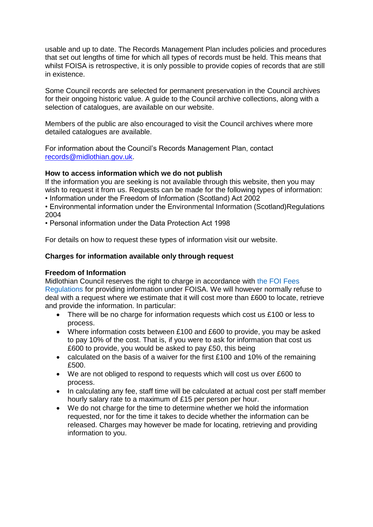usable and up to date. The Records Management Plan includes policies and procedures that set out lengths of time for which all types of records must be held. This means that whilst FOISA is retrospective, it is only possible to provide copies of records that are still in existence.

Some Council records are selected for permanent preservation in the Council archives for their ongoing historic value. A guide to the Council archive collections, along with a selection of catalogues, are available on our website.

Members of the public are also encouraged to visit the Council archives where more detailed catalogues are available.

For information about the Council's Records Management Plan, contact [records@midlothian.gov.uk.](mailto:records@midlothian.gov.uk)

# **How to access information which we do not publish**

If the information you are seeking is not available through this website, then you may wish to request it from us. Requests can be made for the following types of information:

• Information under the Freedom of Information (Scotland) Act 2002

• Environmental information under the Environmental Information (Scotland)Regulations 2004

• Personal information under the Data Protection Act 1998

For details on how to request these types of information visit our website.

# **Charges for information available only through request**

# **Freedom of Information**

Midlothian Council reserves the right to charge in accordance with the FOI Fees Regulations for providing information under FOISA. We will however normally refuse to deal with a request where we estimate that it will cost more than £600 to locate, retrieve and provide the information. In particular:

- There will be no charge for information requests which cost us £100 or less to process.
- Where information costs between £100 and £600 to provide, you may be asked to pay 10% of the cost. That is, if you were to ask for information that cost us £600 to provide, you would be asked to pay £50, this being
- calculated on the basis of a waiver for the first £100 and 10% of the remaining £500.
- We are not obliged to respond to requests which will cost us over £600 to process.
- In calculating any fee, staff time will be calculated at actual cost per staff member hourly salary rate to a maximum of £15 per person per hour.
- We do not charge for the time to determine whether we hold the information requested, nor for the time it takes to decide whether the information can be released. Charges may however be made for locating, retrieving and providing information to you.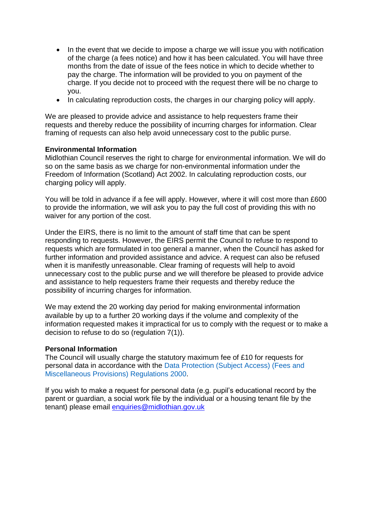- In the event that we decide to impose a charge we will issue you with notification of the charge (a fees notice) and how it has been calculated. You will have three months from the date of issue of the fees notice in which to decide whether to pay the charge. The information will be provided to you on payment of the charge. If you decide not to proceed with the request there will be no charge to you.
- In calculating reproduction costs, the charges in our charging policy will apply.

We are pleased to provide advice and assistance to help requesters frame their requests and thereby reduce the possibility of incurring charges for information. Clear framing of requests can also help avoid unnecessary cost to the public purse.

# **Environmental Information**

Midlothian Council reserves the right to charge for environmental information. We will do so on the same basis as we charge for non-environmental information under the Freedom of Information (Scotland) Act 2002. In calculating reproduction costs, our charging policy will apply.

You will be told in advance if a fee will apply. However, where it will cost more than £600 to provide the information, we will ask you to pay the full cost of providing this with no waiver for any portion of the cost.

Under the EIRS, there is no limit to the amount of staff time that can be spent responding to requests. However, the EIRS permit the Council to refuse to respond to requests which are formulated in too general a manner, when the Council has asked for further information and provided assistance and advice. A request can also be refused when it is manifestly unreasonable. Clear framing of requests will help to avoid unnecessary cost to the public purse and we will therefore be pleased to provide advice and assistance to help requesters frame their requests and thereby reduce the possibility of incurring charges for information.

We may extend the 20 working day period for making environmental information available by up to a further 20 working days if the volume and complexity of the information requested makes it impractical for us to comply with the request or to make a decision to refuse to do so (regulation 7(1)).

## **Personal Information**

The Council will usually charge the statutory maximum fee of £10 for requests for personal data in accordance with the Data Protection (Subject Access) (Fees and Miscellaneous Provisions) Regulations 2000.

If you wish to make a request for personal data (e.g. pupil's educational record by the parent or guardian, a social work file by the individual or a housing tenant file by the tenant) please email [enquiries@midlothian.gov.uk](mailto:enquiries@midlothian.gov.uk)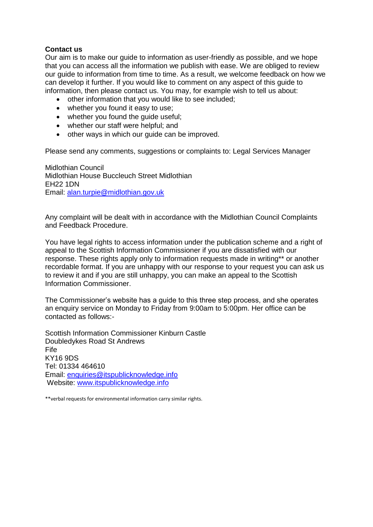# **Contact us**

Our aim is to make our guide to information as user-friendly as possible, and we hope that you can access all the information we publish with ease. We are obliged to review our guide to information from time to time. As a result, we welcome feedback on how we can develop it further. If you would like to comment on any aspect of this guide to information, then please contact us. You may, for example wish to tell us about:

- other information that you would like to see included;
- whether you found it easy to use;
- whether you found the quide useful;
- whether our staff were helpful; and
- other ways in which our quide can be improved.

Please send any comments, suggestions or complaints to: Legal Services Manager

Midlothian Council Midlothian House Buccleuch Street Midlothian EH22 1DN Email: [alan.turpie@midlothian.gov.uk](mailto:alan.turpie@midlothian.gov.uk)

Any complaint will be dealt with in accordance with the Midlothian Council Complaints and Feedback Procedure.

You have legal rights to access information under the publication scheme and a right of appeal to the Scottish Information Commissioner if you are dissatisfied with our response. These rights apply only to information requests made in writing\*\* or another recordable format. If you are unhappy with our response to your request you can ask us to review it and if you are still unhappy, you can make an appeal to the Scottish Information Commissioner.

The Commissioner's website has a guide to this three step process, and she operates an enquiry service on Monday to Friday from 9:00am to 5:00pm. Her office can be contacted as follows:-

Scottish Information Commissioner Kinburn Castle Doubledykes Road St Andrews Fife KY16 9DS Tel: 01334 464610 Email: [enquiries@itspublicknowledge.info](mailto:enquiries@itspublicknowledge.info) Website: [www.itspublicknowledge.info](http://www.itspublicknowledge.info/)

\*\*verbal requests for environmental information carry similar rights.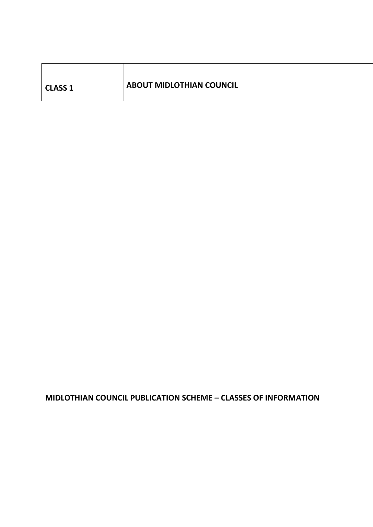| <b>CLASS 1</b> | <b>ABOUT MIDLOTHIAN COUNCIL</b> |
|----------------|---------------------------------|
|                |                                 |

 $\mathbf{r}$ 

# **MIDLOTHIAN COUNCIL PUBLICATION SCHEME – CLASSES OF INFORMATION**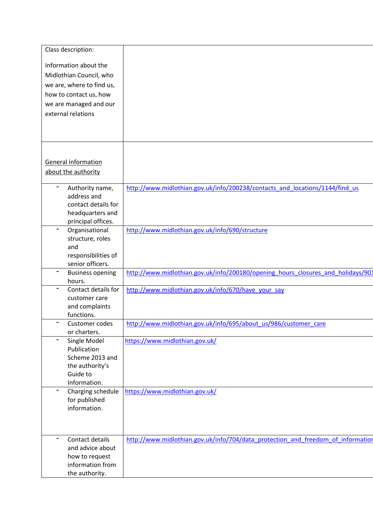| Class description:                      |                                                                                  |
|-----------------------------------------|----------------------------------------------------------------------------------|
| Information about the                   |                                                                                  |
| Midlothian Council, who                 |                                                                                  |
|                                         |                                                                                  |
| we are, where to find us,               |                                                                                  |
| how to contact us, how                  |                                                                                  |
| we are managed and our                  |                                                                                  |
| external relations                      |                                                                                  |
|                                         |                                                                                  |
|                                         |                                                                                  |
|                                         |                                                                                  |
|                                         |                                                                                  |
| <b>General information</b>              |                                                                                  |
| about the authority                     |                                                                                  |
|                                         |                                                                                  |
| Authority name,                         | http://www.midlothian.gov.uk/info/200238/contacts and locations/1144/find us     |
| address and                             |                                                                                  |
| contact details for                     |                                                                                  |
| headquarters and                        |                                                                                  |
| principal offices.                      |                                                                                  |
| Organisational                          | http://www.midlothian.gov.uk/info/690/structure                                  |
| structure, roles<br>and                 |                                                                                  |
|                                         |                                                                                  |
| responsibilities of<br>senior officers. |                                                                                  |
|                                         | http://www.midlothian.gov.uk/info/200180/opening hours closures and holidays/901 |
| <b>Business opening</b><br>hours.       |                                                                                  |
| Contact details for                     | http://www.midlothian.gov.uk/info/670/have your say                              |
| customer care                           |                                                                                  |
| and complaints                          |                                                                                  |
| functions.                              |                                                                                  |
| Customer codes                          | http://www.midlothian.gov.uk/info/695/about us/986/customer care                 |
| or charters.                            |                                                                                  |
| Single Model<br>$\blacksquare$          | https://www.midlothian.gov.uk/                                                   |
| Publication                             |                                                                                  |
| Scheme 2013 and                         |                                                                                  |
| the authority's                         |                                                                                  |
| Guide to                                |                                                                                  |
| Information.                            |                                                                                  |
| Charging schedule                       | https://www.midlothian.gov.uk/                                                   |
| for published                           |                                                                                  |
| information.                            |                                                                                  |
|                                         |                                                                                  |
|                                         |                                                                                  |
| Contact details<br>۰                    | http://www.midlothian.gov.uk/info/704/data protection and freedom of information |
| and advice about                        |                                                                                  |
| how to request                          |                                                                                  |
| information from                        |                                                                                  |
| the authority.                          |                                                                                  |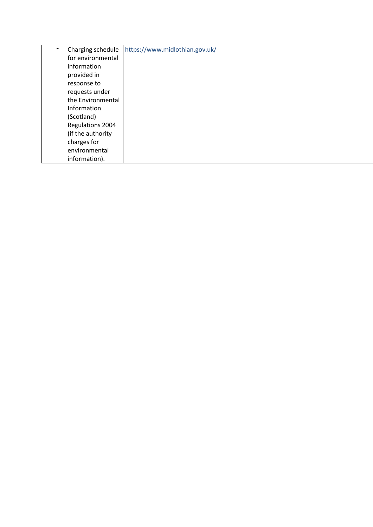| Charging schedule | https://www.midlothian.gov.uk/ |
|-------------------|--------------------------------|
| for environmental |                                |
| information       |                                |
| provided in       |                                |
| response to       |                                |
| requests under    |                                |
| the Environmental |                                |
| Information       |                                |
| (Scotland)        |                                |
| Regulations 2004  |                                |
| (if the authority |                                |
| charges for       |                                |
| environmental     |                                |
| information).     |                                |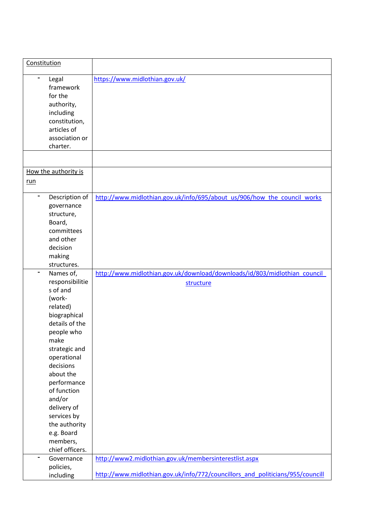| Constitution                                                                                                                                                                                                                                                                                                                           |                                                                                                                                          |
|----------------------------------------------------------------------------------------------------------------------------------------------------------------------------------------------------------------------------------------------------------------------------------------------------------------------------------------|------------------------------------------------------------------------------------------------------------------------------------------|
| $\blacksquare$<br>Legal<br>framework<br>for the<br>authority,<br>including<br>constitution,<br>articles of<br>association or<br>charter.                                                                                                                                                                                               | https://www.midlothian.gov.uk/                                                                                                           |
|                                                                                                                                                                                                                                                                                                                                        |                                                                                                                                          |
| How the authority is<br>run                                                                                                                                                                                                                                                                                                            |                                                                                                                                          |
| Description of<br>governance<br>structure,<br>Board,<br>committees<br>and other<br>decision<br>making<br>structures.                                                                                                                                                                                                                   | http://www.midlothian.gov.uk/info/695/about us/906/how the council works                                                                 |
| Names of,<br>$\blacksquare$<br>responsibilitie<br>s of and<br>(work-<br>related)<br>biographical<br>details of the<br>people who<br>make<br>strategic and<br>operational<br>decisions<br>about the<br>performance<br>of function<br>and/or<br>delivery of<br>services by<br>the authority<br>e.g. Board<br>members,<br>chief officers. | http://www.midlothian.gov.uk/download/downloads/id/803/midlothian_council_<br>structure                                                  |
| Governance<br>policies,<br>including                                                                                                                                                                                                                                                                                                   | http://www2.midlothian.gov.uk/membersinterestlist.aspx<br>http://www.midlothian.gov.uk/info/772/councillors and politicians/955/councill |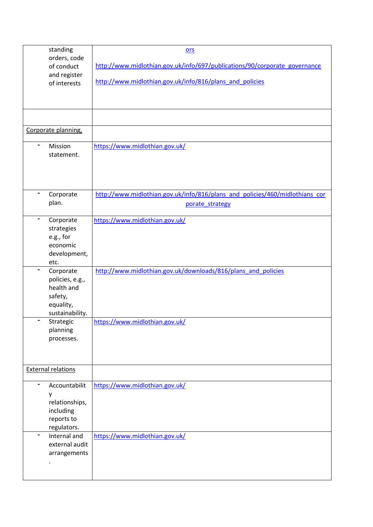| standing                     | $ors$                                                                        |
|------------------------------|------------------------------------------------------------------------------|
| orders, code<br>of conduct   | http://www.midlothian.gov.uk/info/697/publications/90/corporate_governance   |
| and register                 |                                                                              |
| of interests                 | http://www.midlothian.gov.uk/info/816/plans and policies                     |
|                              |                                                                              |
|                              |                                                                              |
|                              |                                                                              |
|                              |                                                                              |
| Corporate planning,          |                                                                              |
| $\blacksquare$<br>Mission    | https://www.midlothian.gov.uk/                                               |
| statement.                   |                                                                              |
|                              |                                                                              |
|                              |                                                                              |
|                              |                                                                              |
| Corporate                    | http://www.midlothian.gov.uk/info/816/plans and policies/460/midlothians cor |
| plan.                        | porate strategy                                                              |
| $\blacksquare$<br>Corporate  | https://www.midlothian.gov.uk/                                               |
| strategies                   |                                                                              |
| e.g., for                    |                                                                              |
| economic                     |                                                                              |
| development,                 |                                                                              |
| etc.                         |                                                                              |
| Corporate<br>policies, e.g., | http://www.midlothian.gov.uk/downloads/816/plans and policies                |
| health and                   |                                                                              |
| safety,                      |                                                                              |
| equality,                    |                                                                              |
| sustainability.              |                                                                              |
| -<br>Strategic               | https://www.midlothian.gov.uk/                                               |
| planning<br>processes.       |                                                                              |
|                              |                                                                              |
|                              |                                                                              |
| <b>External relations</b>    |                                                                              |
|                              |                                                                              |
| -<br>Accountabilit           | https://www.midlothian.gov.uk/                                               |
| у<br>relationships,          |                                                                              |
| including                    |                                                                              |
| reports to                   |                                                                              |
| regulators.                  |                                                                              |
| Internal and<br>-            | https://www.midlothian.gov.uk/                                               |
| external audit               |                                                                              |
| arrangements                 |                                                                              |
|                              |                                                                              |
|                              |                                                                              |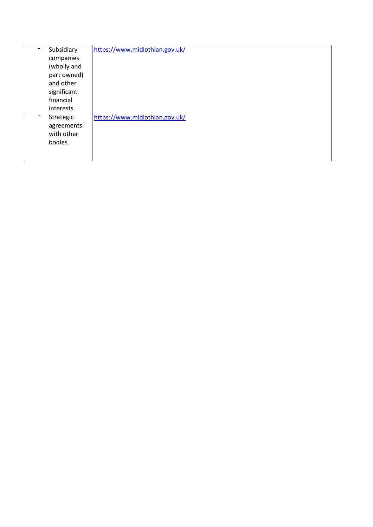| Subsidiary<br>$\blacksquare$ | https://www.midlothian.gov.uk/ |
|------------------------------|--------------------------------|
| companies                    |                                |
| (wholly and                  |                                |
| part owned)                  |                                |
| and other                    |                                |
| significant                  |                                |
| financial                    |                                |
| interests.                   |                                |
| Strategic<br>$\blacksquare$  | https://www.midlothian.gov.uk/ |
| agreements                   |                                |
| with other                   |                                |
| bodies.                      |                                |
|                              |                                |
|                              |                                |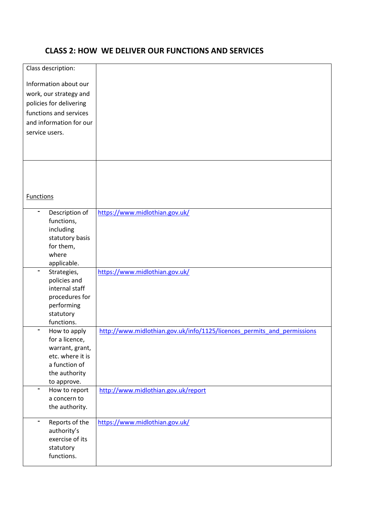# **CLASS 2: HOW WE DELIVER OUR FUNCTIONS AND SERVICES**

| Class description:            |                                                                         |
|-------------------------------|-------------------------------------------------------------------------|
|                               |                                                                         |
| Information about our         |                                                                         |
| work, our strategy and        |                                                                         |
| policies for delivering       |                                                                         |
| functions and services        |                                                                         |
| and information for our       |                                                                         |
| service users.                |                                                                         |
|                               |                                                                         |
|                               |                                                                         |
|                               |                                                                         |
|                               |                                                                         |
|                               |                                                                         |
|                               |                                                                         |
| <b>Functions</b>              |                                                                         |
| Description of                | https://www.midlothian.gov.uk/                                          |
| functions,                    |                                                                         |
| including                     |                                                                         |
| statutory basis               |                                                                         |
| for them,                     |                                                                         |
| where                         |                                                                         |
| applicable.                   |                                                                         |
| Strategies,                   | https://www.midlothian.gov.uk/                                          |
| policies and                  |                                                                         |
| internal staff                |                                                                         |
| procedures for                |                                                                         |
| performing<br>statutory       |                                                                         |
| functions.                    |                                                                         |
| How to apply                  | http://www.midlothian.gov.uk/info/1125/licences_permits_and_permissions |
| for a licence,                |                                                                         |
| warrant, grant,               |                                                                         |
| etc. where it is              |                                                                         |
| a function of                 |                                                                         |
| the authority                 |                                                                         |
| to approve.<br>$\blacksquare$ |                                                                         |
| How to report<br>a concern to | http://www.midlothian.gov.uk/report                                     |
| the authority.                |                                                                         |
|                               |                                                                         |
| Reports of the                | https://www.midlothian.gov.uk/                                          |
| authority's                   |                                                                         |
| exercise of its               |                                                                         |
| statutory                     |                                                                         |
| functions.                    |                                                                         |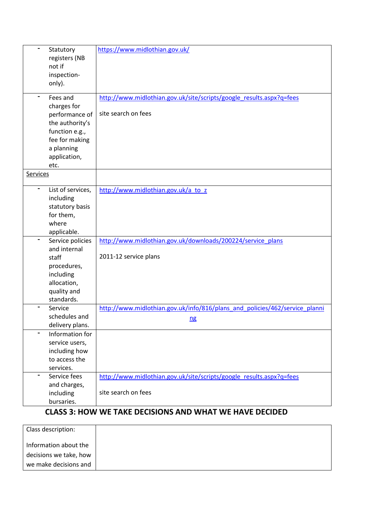| Statutory<br>registers (NB<br>not if<br>inspection-<br>only).                                                                          | https://www.midlothian.gov.uk/                                                              |
|----------------------------------------------------------------------------------------------------------------------------------------|---------------------------------------------------------------------------------------------|
| Fees and<br>charges for<br>performance of<br>the authority's<br>function e.g.,<br>fee for making<br>a planning<br>application,<br>etc. | http://www.midlothian.gov.uk/site/scripts/google results.aspx?q=fees<br>site search on fees |
| <b>Services</b>                                                                                                                        |                                                                                             |
| List of services,<br>including<br>statutory basis<br>for them,<br>where<br>applicable.                                                 | http://www.midlothian.gov.uk/a to z                                                         |
| Service policies<br>and internal<br>staff<br>procedures,<br>including<br>allocation,<br>quality and<br>standards.                      | http://www.midlothian.gov.uk/downloads/200224/service_plans<br>2011-12 service plans        |
| Service<br>schedules and<br>delivery plans.                                                                                            | http://www.midlothian.gov.uk/info/816/plans and policies/462/service planni<br>n <b>g</b>   |
| Information for<br>service users,<br>including how<br>to access the<br>services.                                                       |                                                                                             |
| Service fees<br>and charges,<br>including<br>bursaries.                                                                                | http://www.midlothian.gov.uk/site/scripts/google_results.aspx?q=fees<br>site search on fees |

# **CLASS 3: HOW WE TAKE DECISIONS AND WHAT WE HAVE DECIDED**

| Class description:     |  |
|------------------------|--|
| Information about the  |  |
| decisions we take, how |  |
| we make decisions and  |  |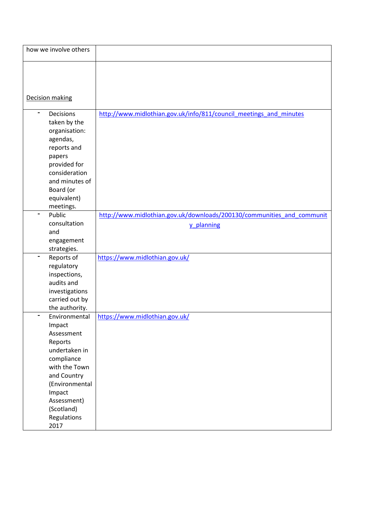| how we involve others            |                                                                        |
|----------------------------------|------------------------------------------------------------------------|
|                                  |                                                                        |
|                                  |                                                                        |
|                                  |                                                                        |
| Decision making                  |                                                                        |
| $\blacksquare$<br>Decisions      |                                                                        |
| taken by the                     | http://www.midlothian.gov.uk/info/811/council meetings and minutes     |
| organisation:                    |                                                                        |
| agendas,                         |                                                                        |
| reports and                      |                                                                        |
| papers                           |                                                                        |
| provided for                     |                                                                        |
| consideration                    |                                                                        |
| and minutes of                   |                                                                        |
| Board (or                        |                                                                        |
| equivalent)                      |                                                                        |
| meetings.                        |                                                                        |
| Public                           | http://www.midlothian.gov.uk/downloads/200130/communities_and_communit |
| consultation                     | y planning                                                             |
| and                              |                                                                        |
| engagement                       |                                                                        |
| strategies.                      |                                                                        |
| Reports of                       | https://www.midlothian.gov.uk/                                         |
| regulatory                       |                                                                        |
| inspections,                     |                                                                        |
| audits and                       |                                                                        |
| investigations                   |                                                                        |
| carried out by<br>the authority. |                                                                        |
| Environmental                    | https://www.midlothian.gov.uk/                                         |
| Impact                           |                                                                        |
| Assessment                       |                                                                        |
| Reports                          |                                                                        |
| undertaken in                    |                                                                        |
| compliance                       |                                                                        |
| with the Town                    |                                                                        |
| and Country                      |                                                                        |
| (Environmental                   |                                                                        |
| Impact                           |                                                                        |
| Assessment)                      |                                                                        |
| (Scotland)                       |                                                                        |
| Regulations                      |                                                                        |
| 2017                             |                                                                        |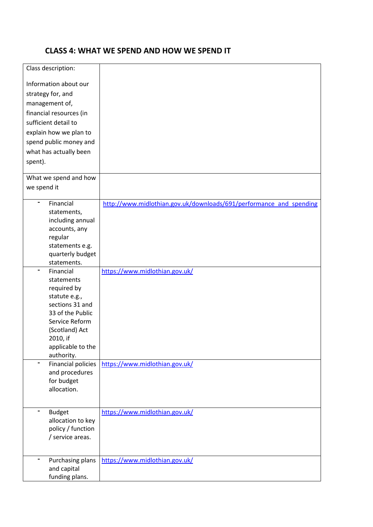# **CLASS 4: WHAT WE SPEND AND HOW WE SPEND IT**

| Class description:        |                                                                     |
|---------------------------|---------------------------------------------------------------------|
|                           |                                                                     |
| Information about our     |                                                                     |
| strategy for, and         |                                                                     |
| management of,            |                                                                     |
| financial resources (in   |                                                                     |
| sufficient detail to      |                                                                     |
|                           |                                                                     |
| explain how we plan to    |                                                                     |
| spend public money and    |                                                                     |
| what has actually been    |                                                                     |
| spent).                   |                                                                     |
| What we spend and how     |                                                                     |
| we spend it               |                                                                     |
|                           |                                                                     |
| Financial<br>-            | http://www.midlothian.gov.uk/downloads/691/performance and spending |
| statements,               |                                                                     |
| including annual          |                                                                     |
| accounts, any             |                                                                     |
| regular                   |                                                                     |
| statements e.g.           |                                                                     |
| quarterly budget          |                                                                     |
| statements.               |                                                                     |
| Financial<br>statements   | https://www.midlothian.gov.uk/                                      |
| required by               |                                                                     |
| statute e.g.,             |                                                                     |
| sections 31 and           |                                                                     |
| 33 of the Public          |                                                                     |
| Service Reform            |                                                                     |
| (Scotland) Act            |                                                                     |
| 2010, if                  |                                                                     |
| applicable to the         |                                                                     |
| authority.                |                                                                     |
| <b>Financial policies</b> | https://www.midlothian.gov.uk/                                      |
| and procedures            |                                                                     |
| for budget                |                                                                     |
| allocation.               |                                                                     |
|                           |                                                                     |
| <b>Budget</b><br>-        | https://www.midlothian.gov.uk/                                      |
| allocation to key         |                                                                     |
| policy / function         |                                                                     |
| / service areas.          |                                                                     |
|                           |                                                                     |
| Purchasing plans          | https://www.midlothian.gov.uk/                                      |
| and capital               |                                                                     |
| funding plans.            |                                                                     |
|                           |                                                                     |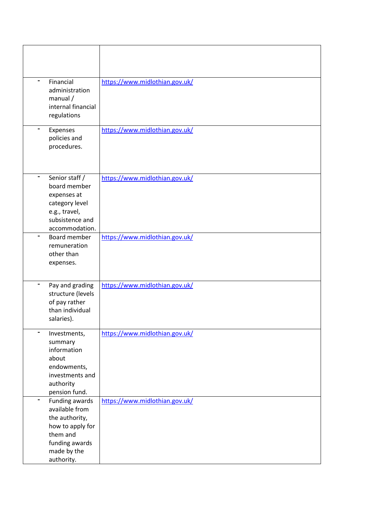| Financial<br>administration<br>$m$ anual /<br>internal financial                                                                  | https://www.midlothian.gov.uk/ |
|-----------------------------------------------------------------------------------------------------------------------------------|--------------------------------|
| regulations<br>Expenses<br>policies and<br>procedures.                                                                            | https://www.midlothian.gov.uk/ |
| Senior staff /<br>board member<br>expenses at<br>category level<br>e.g., travel,<br>subsistence and                               | https://www.midlothian.gov.uk/ |
| accommodation.<br>Board member<br>remuneration<br>other than<br>expenses.                                                         | https://www.midlothian.gov.uk/ |
| Pay and grading<br>structure (levels<br>of pay rather<br>than individual<br>salaries).                                            | https://www.midlothian.gov.uk/ |
| Investments,<br>summary<br>information<br>about<br>endowments,<br>investments and<br>authority<br>pension fund.                   | https://www.midlothian.gov.uk/ |
| Funding awards<br>available from<br>the authority,<br>how to apply for<br>them and<br>funding awards<br>made by the<br>authority. | https://www.midlothian.gov.uk/ |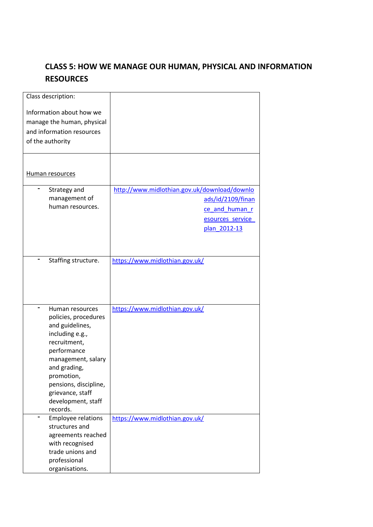# **CLASS 5: HOW WE MANAGE OUR HUMAN, PHYSICAL AND INFORMATION RESOURCES**

| Class description:                  |                                              |
|-------------------------------------|----------------------------------------------|
| Information about how we            |                                              |
| manage the human, physical          |                                              |
| and information resources           |                                              |
| of the authority                    |                                              |
|                                     |                                              |
|                                     |                                              |
|                                     |                                              |
| Human resources                     |                                              |
|                                     |                                              |
| Strategy and                        | http://www.midlothian.gov.uk/download/downlo |
| management of<br>human resources.   | ads/id/2109/finan                            |
|                                     | ce and human r                               |
|                                     | esources service                             |
|                                     | plan 2012-13                                 |
|                                     |                                              |
|                                     |                                              |
| Staffing structure.                 | https://www.midlothian.gov.uk/               |
|                                     |                                              |
|                                     |                                              |
|                                     |                                              |
|                                     |                                              |
| Human resources                     | https://www.midlothian.gov.uk/               |
| policies, procedures                |                                              |
| and guidelines,                     |                                              |
| including e.g.,                     |                                              |
| recruitment,                        |                                              |
| performance                         |                                              |
| management, salary                  |                                              |
| and grading,                        |                                              |
| promotion,                          |                                              |
| pensions, discipline,               |                                              |
| grievance, staff                    |                                              |
| development, staff                  |                                              |
| records.                            |                                              |
| <b>Employee relations</b>           | https://www.midlothian.gov.uk/               |
| structures and                      |                                              |
| agreements reached                  |                                              |
| with recognised<br>trade unions and |                                              |
| professional                        |                                              |
| organisations.                      |                                              |
|                                     |                                              |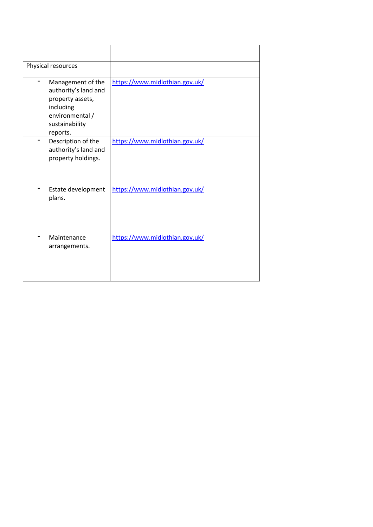| Physical resources                                                                                                          |                                |
|-----------------------------------------------------------------------------------------------------------------------------|--------------------------------|
| Management of the<br>authority's land and<br>property assets,<br>including<br>environmental /<br>sustainability<br>reports. | https://www.midlothian.gov.uk/ |
| Description of the<br>authority's land and<br>property holdings.                                                            | https://www.midlothian.gov.uk/ |
| Estate development<br>plans.                                                                                                | https://www.midlothian.gov.uk/ |
| Maintenance<br>arrangements.                                                                                                | https://www.midlothian.gov.uk/ |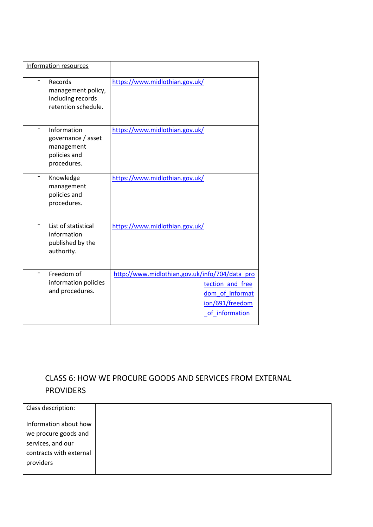| Information resources                                                          |                                                                                                                            |
|--------------------------------------------------------------------------------|----------------------------------------------------------------------------------------------------------------------------|
| Records<br>management policy,<br>including records<br>retention schedule.      | https://www.midlothian.gov.uk/                                                                                             |
| Information<br>governance / asset<br>management<br>policies and<br>procedures. | https://www.midlothian.gov.uk/                                                                                             |
| Knowledge<br>management<br>policies and<br>procedures.                         | https://www.midlothian.gov.uk/                                                                                             |
| List of statistical<br>information<br>published by the<br>authority.           | https://www.midlothian.gov.uk/                                                                                             |
| Freedom of<br>information policies<br>and procedures.                          | http://www.midlothian.gov.uk/info/704/data_pro<br>tection and free<br>dom of informat<br>ion/691/freedom<br>of information |

# CLASS 6: HOW WE PROCURE GOODS AND SERVICES FROM EXTERNAL PROVIDERS

| Class description:      |  |
|-------------------------|--|
| Information about how   |  |
| we procure goods and    |  |
| services, and our       |  |
| contracts with external |  |
| providers               |  |
|                         |  |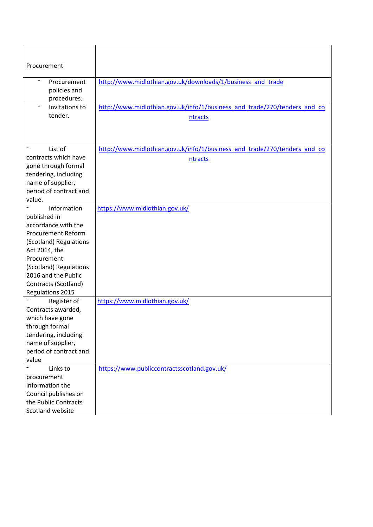| Procurement                                                                                                                                                                                                                            |                                                                                      |
|----------------------------------------------------------------------------------------------------------------------------------------------------------------------------------------------------------------------------------------|--------------------------------------------------------------------------------------|
| Procurement<br>policies and<br>procedures.                                                                                                                                                                                             | http://www.midlothian.gov.uk/downloads/1/business and trade                          |
| Invitations to<br>tender.                                                                                                                                                                                                              | http://www.midlothian.gov.uk/info/1/business and trade/270/tenders and co<br>ntracts |
| List of<br>contracts which have<br>gone through formal<br>tendering, including<br>name of supplier,<br>period of contract and<br>value.                                                                                                | http://www.midlothian.gov.uk/info/1/business and trade/270/tenders and co<br>ntracts |
| Information<br>published in<br>accordance with the<br><b>Procurement Reform</b><br>(Scotland) Regulations<br>Act 2014, the<br>Procurement<br>(Scotland) Regulations<br>2016 and the Public<br>Contracts (Scotland)<br>Regulations 2015 | https://www.midlothian.gov.uk/                                                       |
| Register of<br>Contracts awarded,<br>which have gone<br>through formal<br>tendering, including<br>name of supplier,<br>period of contract and<br>value                                                                                 | https://www.midlothian.gov.uk/                                                       |
| Links to<br>procurement<br>information the<br>Council publishes on<br>the Public Contracts<br>Scotland website                                                                                                                         | https://www.publiccontractsscotland.gov.uk/                                          |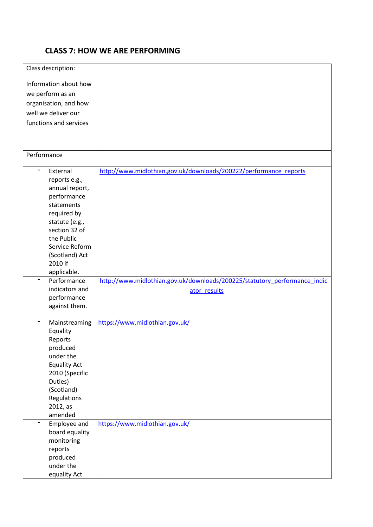# **CLASS 7: HOW WE ARE PERFORMING**

| Class description:            |                                                                           |
|-------------------------------|---------------------------------------------------------------------------|
| Information about how         |                                                                           |
| we perform as an              |                                                                           |
| organisation, and how         |                                                                           |
| well we deliver our           |                                                                           |
| functions and services        |                                                                           |
|                               |                                                                           |
|                               |                                                                           |
|                               |                                                                           |
| Performance                   |                                                                           |
| -<br>External                 | http://www.midlothian.gov.uk/downloads/200222/performance reports         |
| reports e.g.,                 |                                                                           |
| annual report,                |                                                                           |
| performance                   |                                                                           |
| statements                    |                                                                           |
| required by                   |                                                                           |
| statute (e.g.,                |                                                                           |
| section 32 of                 |                                                                           |
| the Public                    |                                                                           |
| Service Reform                |                                                                           |
| (Scotland) Act                |                                                                           |
| 2010 if                       |                                                                           |
| applicable.                   |                                                                           |
| Performance<br>$\blacksquare$ | http://www.midlothian.gov.uk/downloads/200225/statutory performance indic |
| indicators and                | ator results                                                              |
| performance                   |                                                                           |
| against them.                 |                                                                           |
| Mainstreaming                 | https://www.midlothian.gov.uk/                                            |
| Equality                      |                                                                           |
| Reports                       |                                                                           |
| produced                      |                                                                           |
| under the                     |                                                                           |
| <b>Equality Act</b>           |                                                                           |
| 2010 (Specific                |                                                                           |
| Duties)                       |                                                                           |
| (Scotland)                    |                                                                           |
| Regulations                   |                                                                           |
| 2012, as                      |                                                                           |
| amended                       |                                                                           |
| Employee and                  | https://www.midlothian.gov.uk/                                            |
| board equality                |                                                                           |
| monitoring                    |                                                                           |
| reports                       |                                                                           |
| produced                      |                                                                           |
|                               |                                                                           |
| under the<br>equality Act     |                                                                           |